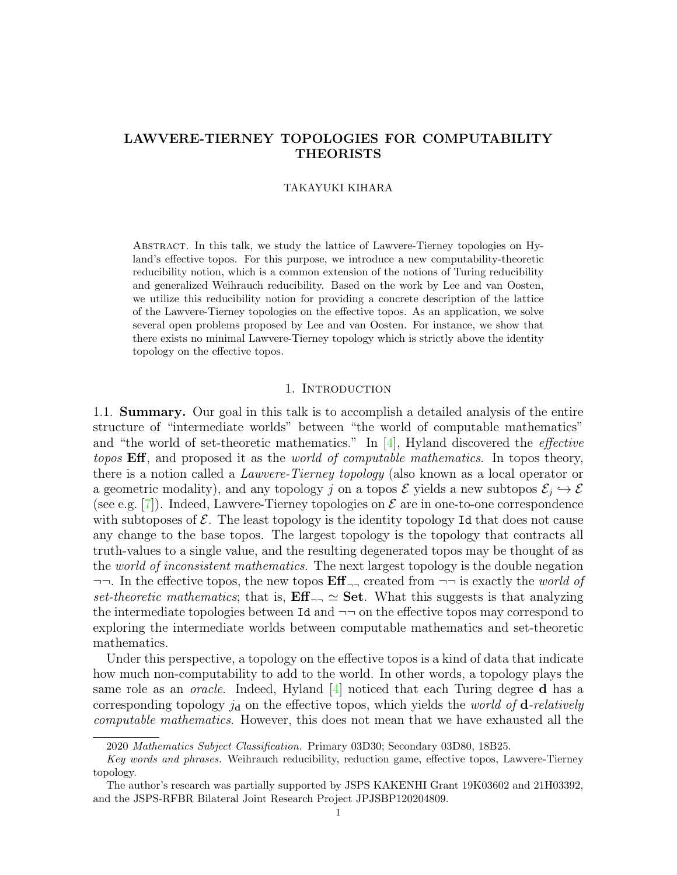# **LAWVERE-TIERNEY TOPOLOGIES FOR COMPUTABILITY THEORISTS**

## TAKAYUKI KIHARA

Abstract. In this talk, we study the lattice of Lawvere-Tierney topologies on Hyland's effective topos. For this purpose, we introduce a new computability-theoretic reducibility notion, which is a common extension of the notions of Turing reducibility and generalized Weihrauch reducibility. Based on the work by Lee and van Oosten, we utilize this reducibility notion for providing a concrete description of the lattice of the Lawvere-Tierney topologies on the effective topos. As an application, we solve several open problems proposed by Lee and van Oosten. For instance, we show that there exists no minimal Lawvere-Tierney topology which is strictly above the identity topology on the effective topos.

### 1. INTRODUCTION

1.1. **Summary.** Our goal in this talk is to accomplish a detailed analysis of the entire structure of "intermediate worlds" between "the world of computable mathematics" and "the world of set-theoretic mathematics." In [4], Hyland discovered the *effective topos* **Eff**, and proposed it as the *world of computable mathematics*. In topos theory, there is a notion called a *Lawvere-Tierney topology* (also known as a local operator or a geometric modality), and any topology *j* on a topos  $\mathcal{E}$  yields a new subtopos  $\mathcal{E}_j \hookrightarrow \mathcal{E}$ (see e.g. [7]). Indeed, Lawvere-Tierney topologies on *E* are in one-to-one correspondence with subtoposes of  $\mathcal{E}$ . The least topology is the identity topology Id that does not cause any change to the base topos. The largest topology is the topology that contracts all truth-values to a single value, and the resulting degenerated topos may be thought of as the *world of inconsistent mathematics*. The next largest topology is the double negation *¬¬*. In the effective topos, the new topos **Eff** *¬¬* created from *¬¬* is exactly the *world of set-theoretic mathematics*; that is,  $\mathbf{Eff}_{\neg \neg} \simeq \mathbf{Set}$ . What this suggests is that analyzing the intermediate topologies between Id and *¬¬* on the effective topos may correspond to exploring the intermediate worlds between computable mathematics and set-theoretic mathematics.

Under this perspective, a topology on the effective topos is a kind of data that indicate how much non-computability to add to the world. In other words, a topology plays the same role as an *oracle*. Indeed, Hyland [4] noticed that each Turing degree **d** has a corresponding topology *j***<sup>d</sup>** on the effective topos, which yields the *world of* **d***-relatively computable mathematics*. However, this does not mean that we have exhausted all the

<sup>2020</sup> *Mathematics Subject Classification.* Primary 03D30; Secondary 03D80, 18B25.

*Key words and phrases.* Weihrauch reducibility, reduction game, effective topos, Lawvere-Tierney topology.

The author's research was partially supported by JSPS KAKENHI Grant 19K03602 and 21H03392, and the JSPS-RFBR Bilateral Joint Research Project JPJSBP120204809.